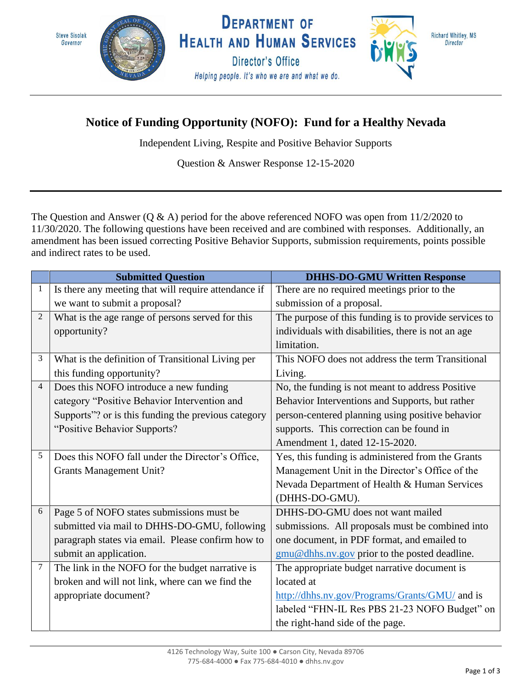

## **Notice of Funding Opportunity (NOFO): Fund for a Healthy Nevada**

Independent Living, Respite and Positive Behavior Supports

Question & Answer Response 12-15-2020

The Question and Answer (Q & A) period for the above referenced NOFO was open from 11/2/2020 to 11/30/2020. The following questions have been received and are combined with responses. Additionally, an amendment has been issued correcting Positive Behavior Supports, submission requirements, points possible and indirect rates to be used.

|                | <b>Submitted Question</b>                            | <b>DHHS-DO-GMU Written Response</b>                   |
|----------------|------------------------------------------------------|-------------------------------------------------------|
| 1              | Is there any meeting that will require attendance if | There are no required meetings prior to the           |
|                | we want to submit a proposal?                        | submission of a proposal.                             |
| $\overline{2}$ | What is the age range of persons served for this     | The purpose of this funding is to provide services to |
|                | opportunity?                                         | individuals with disabilities, there is not an age    |
|                |                                                      | limitation.                                           |
| 3              | What is the definition of Transitional Living per    | This NOFO does not address the term Transitional      |
|                | this funding opportunity?                            | Living.                                               |
| $\overline{4}$ | Does this NOFO introduce a new funding               | No, the funding is not meant to address Positive      |
|                | category "Positive Behavior Intervention and         | Behavior Interventions and Supports, but rather       |
|                | Supports"? or is this funding the previous category  | person-centered planning using positive behavior      |
|                | "Positive Behavior Supports?                         | supports. This correction can be found in             |
|                |                                                      | Amendment 1, dated 12-15-2020.                        |
| 5              | Does this NOFO fall under the Director's Office,     | Yes, this funding is administered from the Grants     |
|                | <b>Grants Management Unit?</b>                       | Management Unit in the Director's Office of the       |
|                |                                                      | Nevada Department of Health & Human Services          |
|                |                                                      | (DHHS-DO-GMU).                                        |
| 6              | Page 5 of NOFO states submissions must be            | DHHS-DO-GMU does not want mailed                      |
|                | submitted via mail to DHHS-DO-GMU, following         | submissions. All proposals must be combined into      |
|                | paragraph states via email. Please confirm how to    | one document, in PDF format, and emailed to           |
|                | submit an application.                               | gmu@dhhs.nv.gov prior to the posted deadline.         |
| 7              | The link in the NOFO for the budget narrative is     | The appropriate budget narrative document is          |
|                | broken and will not link, where can we find the      | located at                                            |
|                | appropriate document?                                | http://dhhs.nv.gov/Programs/Grants/GMU/ and is        |
|                |                                                      | labeled "FHN-IL Res PBS 21-23 NOFO Budget" on         |
|                |                                                      | the right-hand side of the page.                      |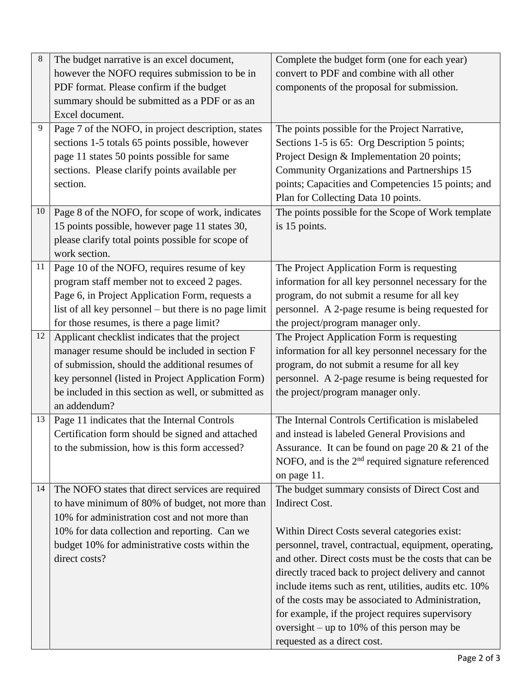| $\,8$ | The budget narrative is an excel document,                                                       | Complete the budget form (one for each year)                                                           |
|-------|--------------------------------------------------------------------------------------------------|--------------------------------------------------------------------------------------------------------|
|       | however the NOFO requires submission to be in                                                    | convert to PDF and combine with all other                                                              |
|       | PDF format. Please confirm if the budget                                                         | components of the proposal for submission.                                                             |
|       | summary should be submitted as a PDF or as an                                                    |                                                                                                        |
|       | Excel document.                                                                                  |                                                                                                        |
| 9     | Page 7 of the NOFO, in project description, states                                               | The points possible for the Project Narrative,                                                         |
|       | sections 1-5 totals 65 points possible, however                                                  | Sections 1-5 is 65: Org Description 5 points;                                                          |
|       | page 11 states 50 points possible for same                                                       | Project Design & Implementation 20 points;                                                             |
|       | sections. Please clarify points available per                                                    | Community Organizations and Partnerships 15                                                            |
|       | section.                                                                                         | points; Capacities and Competencies 15 points; and                                                     |
|       |                                                                                                  | Plan for Collecting Data 10 points.                                                                    |
| 10    | Page 8 of the NOFO, for scope of work, indicates                                                 | The points possible for the Scope of Work template                                                     |
|       | 15 points possible, however page 11 states 30,                                                   | is 15 points.                                                                                          |
|       | please clarify total points possible for scope of                                                |                                                                                                        |
|       | work section.                                                                                    |                                                                                                        |
| 11    | Page 10 of the NOFO, requires resume of key                                                      | The Project Application Form is requesting                                                             |
|       | program staff member not to exceed 2 pages.                                                      | information for all key personnel necessary for the                                                    |
|       | Page 6, in Project Application Form, requests a                                                  | program, do not submit a resume for all key                                                            |
|       | list of all key personnel – but there is no page limit                                           | personnel. A 2-page resume is being requested for                                                      |
|       | for those resumes, is there a page limit?                                                        | the project/program manager only.                                                                      |
| 12    | Applicant checklist indicates that the project                                                   | The Project Application Form is requesting                                                             |
|       | manager resume should be included in section F                                                   | information for all key personnel necessary for the                                                    |
|       | of submission, should the additional resumes of                                                  | program, do not submit a resume for all key                                                            |
|       | key personnel (listed in Project Application Form)                                               | personnel. A 2-page resume is being requested for                                                      |
|       | be included in this section as well, or submitted as                                             | the project/program manager only.                                                                      |
|       | an addendum?                                                                                     |                                                                                                        |
| 13    | Page 11 indicates that the Internal Controls                                                     | The Internal Controls Certification is mislabeled                                                      |
|       | Certification form should be signed and attached                                                 | and instead is labeled General Provisions and                                                          |
|       | to the submission, how is this form accessed?                                                    | Assurance. It can be found on page 20 $& 21$ of the                                                    |
|       |                                                                                                  | NOFO, and is the 2 <sup>nd</sup> required signature referenced                                         |
|       |                                                                                                  | on page 11.                                                                                            |
| 14    | The NOFO states that direct services are required                                                | The budget summary consists of Direct Cost and<br><b>Indirect Cost.</b>                                |
|       | to have minimum of 80% of budget, not more than<br>10% for administration cost and not more than |                                                                                                        |
|       |                                                                                                  |                                                                                                        |
|       | 10% for data collection and reporting. Can we<br>budget 10% for administrative costs within the  | Within Direct Costs several categories exist:<br>personnel, travel, contractual, equipment, operating, |
|       | direct costs?                                                                                    | and other. Direct costs must be the costs that can be                                                  |
|       |                                                                                                  | directly traced back to project delivery and cannot                                                    |
|       |                                                                                                  | include items such as rent, utilities, audits etc. 10%                                                 |
|       |                                                                                                  | of the costs may be associated to Administration,                                                      |
|       |                                                                                                  | for example, if the project requires supervisory                                                       |
|       |                                                                                                  | oversight – up to 10% of this person may be                                                            |
|       |                                                                                                  |                                                                                                        |
|       |                                                                                                  | requested as a direct cost.                                                                            |